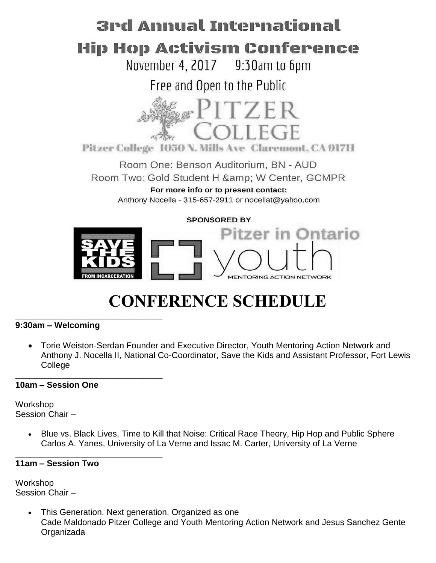# 3rd Annual International Hip Hop Activism Conference

November 4, 2017 9:30am to 6pm

Free and Open to the Public



Pitzer College 1050 N. Mills Ave Claremont, CA 91711

Room One: Benson Auditorium, BN - AUD Room Two: Gold Student H & W Center, GCMPR For more info or to present contact: Anthony Nocella - 315-657-2911 or nocellat@yahoo.com

# **SPONSORED BY**



# **CONFERENCE SCHEDULE \_\_\_\_\_\_\_\_\_\_\_\_\_\_\_\_\_\_\_\_\_\_\_\_\_\_\_\_\_\_\_**

# **9:30am – Welcoming**

 Torie Weiston-Serdan Founder and Executive Director, Youth Mentoring Action Network and Anthony J. Nocella II, National Co-Coordinator, Save the Kids and Assistant Professor, Fort Lewis **College** 

#### **\_\_\_\_\_\_\_\_\_\_\_\_\_\_\_\_\_\_\_\_\_\_\_\_\_\_\_\_\_\_\_ 10am – Session One**

Workshop Session Chair –

> Blue vs. Black Lives, Time to Kill that Noise: Critical Race Theory, Hip Hop and Public Sphere Carlos A. Yanes, University of La Verne and Issac M. Carter, University of La Verne

#### **\_\_\_\_\_\_\_\_\_\_\_\_\_\_\_\_\_\_\_\_\_\_\_\_\_\_\_\_\_\_\_ 11am – Session Two**

Workshop Session Chair –

> This Generation. Next generation. Organized as one Cade Maldonado Pitzer College and Youth Mentoring Action Network and Jesus Sanchez Gente Organizada